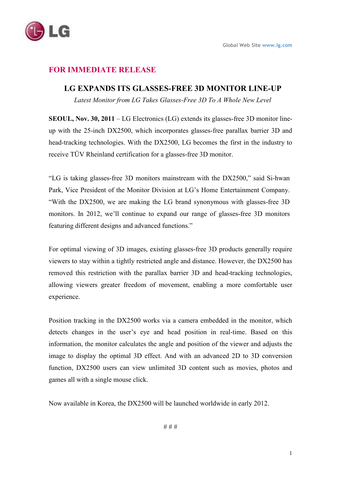

## **FOR IMMEDIATE RELEASE**

## **LG EXPANDS ITS GLASSES-FREE 3D MONITOR LINE-UP**

Latest Monitor from LG Takes Glasses-Free 3D To A Whole New Level

**SEOUL, Nov. 30, 2011** – LG Electronics (LG) extends its glasses-free 3D monitor lineup with the 25-inch DX2500, which incorporates glasses-free parallax barrier 3D and head-tracking technologies. With the DX2500, LG becomes the first in the industry to receive TÜV Rheinland certification for a glasses-free 3D monitor.

"LG is taking glasses-free 3D monitors mainstream with the DX2500," said Si-hwan Park, Vice President of the Monitor Division at LG's Home Entertainment Company. "With the DX2500, we are making the LG brand synonymous with glasses-free 3D monitors. In 2012, we'll continue to expand our range of glasses-free 3D monitors featuring different designs and advanced functions."

For optimal viewing of 3D images, existing glasses-free 3D products generally require viewers to stay within a tightly restricted angle and distance. However, the DX2500 has removed this restriction with the parallax barrier 3D and head-tracking technologies, allowing viewers greater freedom of movement, enabling a more comfortable user experience.

Position tracking in the DX2500 works via a camera embedded in the monitor, which detects changes in the user's eye and head position in real-time. Based on this information, the monitor calculates the angle and position of the viewer and adjusts the image to display the optimal 3D effect. And with an advanced 2D to 3D conversion function, DX2500 users can view unlimited 3D content such as movies, photos and games all with a single mouse click.

Now available in Korea, the DX2500 will be launched worldwide in early 2012.